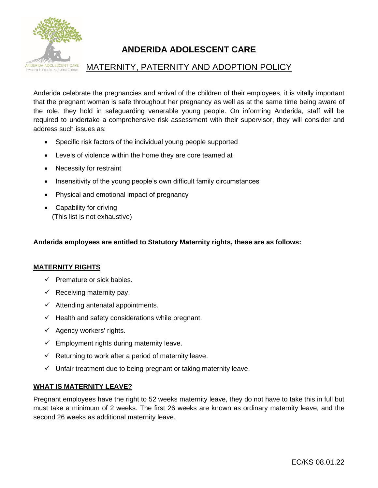

# **ANDERIDA ADOLESCENT CARE**

# MATERNITY, PATERNITY AND ADOPTION POLICY

Anderida celebrate the pregnancies and arrival of the children of their employees, it is vitally important that the pregnant woman is safe throughout her pregnancy as well as at the same time being aware of the role, they hold in safeguarding venerable young people. On informing Anderida, staff will be required to undertake a comprehensive risk assessment with their supervisor, they will consider and address such issues as:

- Specific risk factors of the individual young people supported
- Levels of violence within the home they are core teamed at
- Necessity for restraint
- Insensitivity of the young people's own difficult family circumstances
- Physical and emotional impact of pregnancy
- Capability for driving (This list is not exhaustive)

**Anderida employees are entitled to Statutory Maternity rights, these are as follows:** 

## **MATERNITY RIGHTS**

- $\checkmark$  Premature or sick babies.
- $\checkmark$  Receiving maternity pay.
- $\checkmark$  Attending antenatal appointments.
- $\checkmark$  Health and safety considerations while pregnant.
- $\checkmark$  Agency workers' rights.
- $\checkmark$  Employment rights during maternity leave.
- $\checkmark$  Returning to work after a period of maternity leave.
- $\checkmark$  Unfair treatment due to being pregnant or taking maternity leave.

#### **WHAT IS MATERNITY LEAVE?**

Pregnant employees have the right to 52 weeks maternity leave, they do not have to take this in full but must take a minimum of 2 weeks. The first 26 weeks are known as ordinary maternity leave, and the second 26 weeks as additional maternity leave.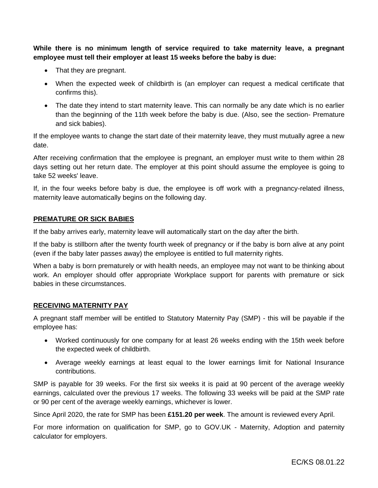**While there is no minimum length of service required to take maternity leave, a pregnant employee must tell their employer at least 15 weeks before the baby is due:** 

- That they are pregnant.
- When the expected week of childbirth is (an employer can request a medical certificate that confirms this).
- The date they intend to start maternity leave. This can normally be any date which is no earlier than the beginning of the 11th week before the baby is due. (Also, see the section- Premature and sick babies).

If the employee wants to change the start date of their maternity leave, they must mutually agree a new date.

After receiving confirmation that the employee is pregnant, an employer must write to them within 28 days setting out her return date. The employer at this point should assume the employee is going to take 52 weeks' leave.

If, in the four weeks before baby is due, the employee is off work with a pregnancy-related illness, maternity leave automatically begins on the following day.

## **PREMATURE OR SICK BABIES**

If the baby arrives early, maternity leave will automatically start on the day after the birth.

If the baby is stillborn after the twenty fourth week of pregnancy or if the baby is born alive at any point (even if the baby later passes away) the employee is entitled to full maternity rights.

When a baby is born prematurely or with health needs, an employee may not want to be thinking about work. An employer should offer appropriate Workplace support for parents with premature or sick babies in these circumstances.

## **RECEIVING MATERNITY PAY**

A pregnant staff member will be entitled to Statutory Maternity Pay (SMP) - this will be payable if the employee has:

- Worked continuously for one company for at least 26 weeks ending with the 15th week before the expected week of childbirth.
- Average weekly earnings at least equal to the lower earnings limit for National Insurance contributions.

SMP is payable for 39 weeks. For the first six weeks it is paid at 90 percent of the average weekly earnings, calculated over the previous 17 weeks. The following 33 weeks will be paid at the SMP rate or 90 per cent of the average weekly earnings, whichever is lower.

Since April 2020, the rate for SMP has been **£151.20 per week**. The amount is reviewed every April.

For more information on qualification for SMP, go to GOV.UK - Maternity, Adoption and paternity calculator for employers.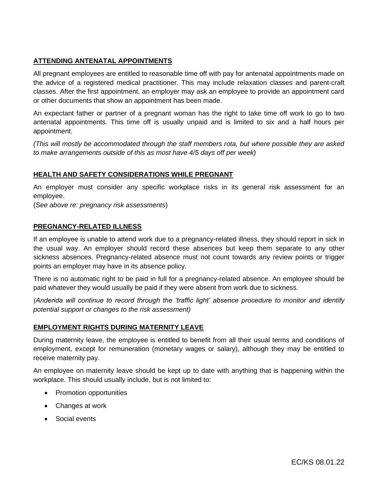# **ATTENDING ANTENATAL APPOINTMENTS**

All pregnant employees are entitled to reasonable time off with pay for antenatal appointments made on the advice of a registered medical practitioner. This may include relaxation classes and parent-craft classes. After the first appointment, an employer may ask an employee to provide an appointment card or other documents that show an appointment has been made.

An expectant father or partner of a pregnant woman has the right to take time off work to go to two antenatal appointments. This time off is usually unpaid and is limited to six and a half hours per appointment.

*(This will mostly be accommodated through the staff members rota, but where possible they are asked to make arrangements outside of this as most have 4/5 days off per week)*

# **HEALTH AND SAFETY CONSIDERATIONS WHILE PREGNANT**

An employer must consider any specific workplace risks in its general risk assessment for an employee.

(*See above re: pregnancy risk assessments*)

## **PREGNANCY-RELATED ILLNESS**

If an employee is unable to attend work due to a pregnancy-related illness, they should report in sick in the usual way. An employer should record these absences but keep them separate to any other sickness absences. Pregnancy-related absence must not count towards any review points or trigger points an employer may have in its absence policy.

There is no automatic right to be paid in full for a pregnancy-related absence. An employee should be paid whatever they would usually be paid if they were absent from work due to sickness.

*(Anderida will continue to record through the 'traffic light' absence procedure to monitor and identify potential support or changes to the risk assessment)*

# **EMPLOYMENT RIGHTS DURING MATERNITY LEAVE**

During maternity leave, the employee is entitled to benefit from all their usual terms and conditions of employment, except for remuneration (monetary wages or salary), although they may be entitled to receive maternity pay.

An employee on maternity leave should be kept up to date with anything that is happening within the workplace. This should usually include, but is not limited to:

- Promotion opportunities
- Changes at work
- Social events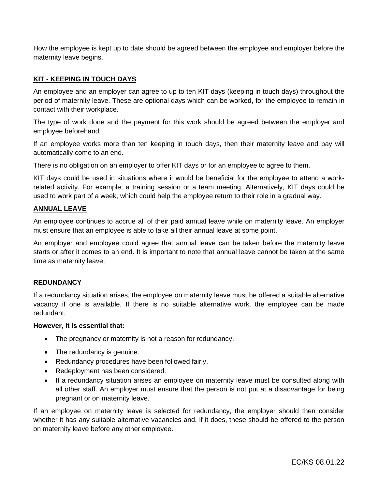How the employee is kept up to date should be agreed between the employee and employer before the maternity leave begins.

# **KIT - KEEPING IN TOUCH DAYS**

An employee and an employer can agree to up to ten KIT days (keeping in touch days) throughout the period of maternity leave. These are optional days which can be worked, for the employee to remain in contact with their workplace.

The type of work done and the payment for this work should be agreed between the employer and employee beforehand.

If an employee works more than ten keeping in touch days, then their maternity leave and pay will automatically come to an end.

There is no obligation on an employer to offer KIT days or for an employee to agree to them.

KIT days could be used in situations where it would be beneficial for the employee to attend a workrelated activity. For example, a training session or a team meeting. Alternatively, KIT days could be used to work part of a week, which could help the employee return to their role in a gradual way.

#### **ANNUAL LEAVE**

An employee continues to accrue all of their paid annual leave while on maternity leave. An employer must ensure that an employee is able to take all their annual leave at some point.

An employer and employee could agree that annual leave can be taken before the maternity leave starts or after it comes to an end. It is important to note that annual leave cannot be taken at the same time as maternity leave.

#### **REDUNDANCY**

If a redundancy situation arises, the employee on maternity leave must be offered a suitable alternative vacancy if one is available. If there is no suitable alternative work, the employee can be made redundant.

#### **However, it is essential that:**

- The pregnancy or maternity is not a reason for redundancy.
- The redundancy is genuine.
- Redundancy procedures have been followed fairly.
- Redeployment has been considered.
- If a redundancy situation arises an employee on maternity leave must be consulted along with all other staff. An employer must ensure that the person is not put at a disadvantage for being pregnant or on maternity leave.

If an employee on maternity leave is selected for redundancy, the employer should then consider whether it has any suitable alternative vacancies and, if it does, these should be offered to the person on maternity leave before any other employee.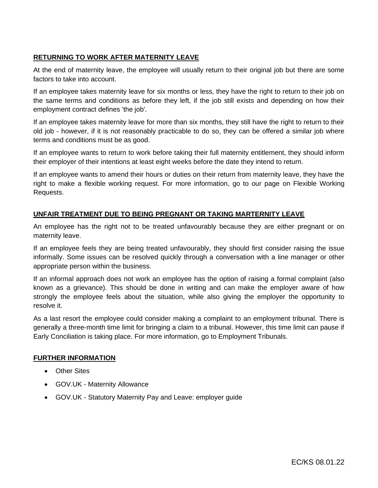# **RETURNING TO WORK AFTER MATERNITY LEAVE**

At the end of maternity leave, the employee will usually return to their original job but there are some factors to take into account.

If an employee takes maternity leave for six months or less, they have the right to return to their job on the same terms and conditions as before they left, if the job still exists and depending on how their employment contract defines 'the job'.

If an employee takes maternity leave for more than six months, they still have the right to return to their old job - however, if it is not reasonably practicable to do so, they can be offered a similar job where terms and conditions must be as good.

If an employee wants to return to work before taking their full maternity entitlement, they should inform their employer of their intentions at least eight weeks before the date they intend to return.

If an employee wants to amend their hours or duties on their return from maternity leave, they have the right to make a flexible working request. For more information, go to our page on Flexible Working Requests.

# **UNFAIR TREATMENT DUE TO BEING PREGNANT OR TAKING MARTERNITY LEAVE**

An employee has the right not to be treated unfavourably because they are either pregnant or on maternity leave.

If an employee feels they are being treated unfavourably, they should first consider raising the issue informally. Some issues can be resolved quickly through a conversation with a line manager or other appropriate person within the business.

If an informal approach does not work an employee has the option of raising a formal complaint (also known as a grievance). This should be done in writing and can make the employer aware of how strongly the employee feels about the situation, while also giving the employer the opportunity to resolve it.

As a last resort the employee could consider making a complaint to an employment tribunal. There is generally a three-month time limit for bringing a claim to a tribunal. However, this time limit can pause if Early Conciliation is taking place. For more information, go to Employment Tribunals.

## **FURTHER INFORMATION**

- Other Sites
- GOV.UK Maternity Allowance
- GOV.UK Statutory Maternity Pay and Leave: employer guide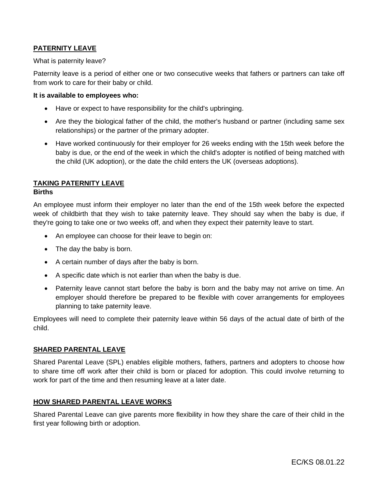# **PATERNITY LEAVE**

### What is paternity leave?

Paternity leave is a period of either one or two consecutive weeks that fathers or partners can take off from work to care for their baby or child.

#### **It is available to employees who:**

- Have or expect to have responsibility for the child's upbringing.
- Are they the biological father of the child, the mother's husband or partner (including same sex relationships) or the partner of the primary adopter.
- Have worked continuously for their employer for 26 weeks ending with the 15th week before the baby is due, or the end of the week in which the child's adopter is notified of being matched with the child (UK adoption), or the date the child enters the UK (overseas adoptions).

# **TAKING PATERNITY LEAVE**

#### **Births**

An employee must inform their employer no later than the end of the 15th week before the expected week of childbirth that they wish to take paternity leave. They should say when the baby is due, if they're going to take one or two weeks off, and when they expect their paternity leave to start.

- An employee can choose for their leave to begin on:
- The day the baby is born.
- A certain number of days after the baby is born.
- A specific date which is not earlier than when the baby is due.
- Paternity leave cannot start before the baby is born and the baby may not arrive on time. An employer should therefore be prepared to be flexible with cover arrangements for employees planning to take paternity leave.

Employees will need to complete their paternity leave within 56 days of the actual date of birth of the child.

## **SHARED PARENTAL LEAVE**

Shared Parental Leave (SPL) enables eligible mothers, fathers, partners and adopters to choose how to share time off work after their child is born or placed for adoption. This could involve returning to work for part of the time and then resuming leave at a later date.

#### **HOW SHARED PARENTAL LEAVE WORKS**

Shared Parental Leave can give parents more flexibility in how they share the care of their child in the first year following birth or adoption.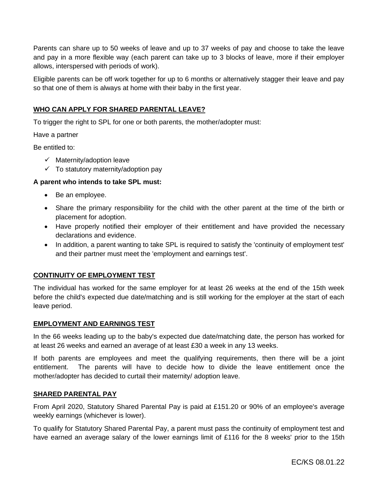Parents can share up to 50 weeks of leave and up to 37 weeks of pay and choose to take the leave and pay in a more flexible way (each parent can take up to 3 blocks of leave, more if their employer allows, interspersed with periods of work).

Eligible parents can be off work together for up to 6 months or alternatively stagger their leave and pay so that one of them is always at home with their baby in the first year.

# **WHO CAN APPLY FOR SHARED PARENTAL LEAVE?**

To trigger the right to SPL for one or both parents, the mother/adopter must:

Have a partner

Be entitled to:

- $\checkmark$  Maternity/adoption leave
- $\checkmark$  To statutory maternity/adoption pay

#### **A parent who intends to take SPL must:**

- Be an employee.
- Share the primary responsibility for the child with the other parent at the time of the birth or placement for adoption.
- Have properly notified their employer of their entitlement and have provided the necessary declarations and evidence.
- In addition, a parent wanting to take SPL is required to satisfy the 'continuity of employment test' and their partner must meet the 'employment and earnings test'.

## **CONTINUITY OF EMPLOYMENT TEST**

The individual has worked for the same employer for at least 26 weeks at the end of the 15th week before the child's expected due date/matching and is still working for the employer at the start of each leave period.

#### **EMPLOYMENT AND EARNINGS TEST**

In the 66 weeks leading up to the baby's expected due date/matching date, the person has worked for at least 26 weeks and earned an average of at least £30 a week in any 13 weeks.

If both parents are employees and meet the qualifying requirements, then there will be a joint entitlement. The parents will have to decide how to divide the leave entitlement once the mother/adopter has decided to curtail their maternity/ adoption leave.

#### **SHARED PARENTAL PAY**

From April 2020, Statutory Shared Parental Pay is paid at £151.20 or 90% of an employee's average weekly earnings (whichever is lower).

To qualify for Statutory Shared Parental Pay, a parent must pass the continuity of employment test and have earned an average salary of the lower earnings limit of £116 for the 8 weeks' prior to the 15th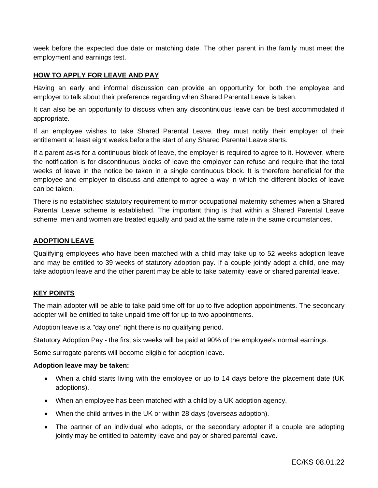week before the expected due date or matching date. The other parent in the family must meet the employment and earnings test.

#### **HOW TO APPLY FOR LEAVE AND PAY**

Having an early and informal discussion can provide an opportunity for both the employee and employer to talk about their preference regarding when Shared Parental Leave is taken.

It can also be an opportunity to discuss when any discontinuous leave can be best accommodated if appropriate.

If an employee wishes to take Shared Parental Leave, they must notify their employer of their entitlement at least eight weeks before the start of any Shared Parental Leave starts.

If a parent asks for a continuous block of leave, the employer is required to agree to it. However, where the notification is for discontinuous blocks of leave the employer can refuse and require that the total weeks of leave in the notice be taken in a single continuous block. It is therefore beneficial for the employee and employer to discuss and attempt to agree a way in which the different blocks of leave can be taken.

There is no established statutory requirement to mirror occupational maternity schemes when a Shared Parental Leave scheme is established. The important thing is that within a Shared Parental Leave scheme, men and women are treated equally and paid at the same rate in the same circumstances.

#### **ADOPTION LEAVE**

Qualifying employees who have been matched with a child may take up to 52 weeks adoption leave and may be entitled to 39 weeks of statutory adoption pay. If a couple jointly adopt a child, one may take adoption leave and the other parent may be able to take paternity leave or shared parental leave.

#### **KEY POINTS**

The main adopter will be able to take paid time off for up to five adoption appointments. The secondary adopter will be entitled to take unpaid time off for up to two appointments.

Adoption leave is a "day one" right there is no qualifying period.

Statutory Adoption Pay - the first six weeks will be paid at 90% of the employee's normal earnings.

Some surrogate parents will become eligible for adoption leave.

#### **Adoption leave may be taken:**

- When a child starts living with the employee or up to 14 days before the placement date (UK adoptions).
- When an employee has been matched with a child by a UK adoption agency.
- When the child arrives in the UK or within 28 days (overseas adoption).
- The partner of an individual who adopts, or the secondary adopter if a couple are adopting jointly may be entitled to paternity leave and pay or shared parental leave.